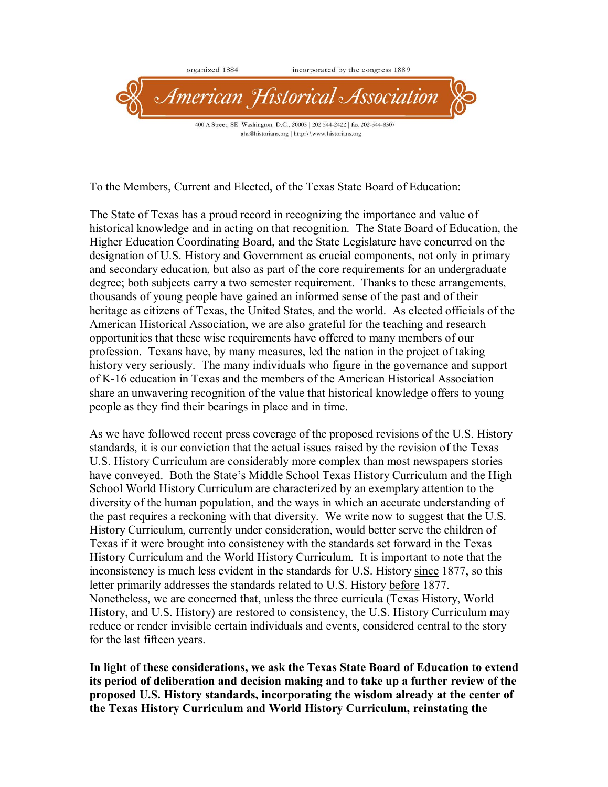

To the Members, Current and Elected, of the Texas State Board of Education:

The State of Texas has a proud record in recognizing the importance and value of historical knowledge and in acting on that recognition. The State Board of Education, the Higher Education Coordinating Board, and the State Legislature have concurred on the designation of U.S. History and Government as crucial components, not only in primary and secondary education, but also as part of the core requirements for an undergraduate degree; both subjects carry a two semester requirement. Thanks to these arrangements, thousands of young people have gained an informed sense of the past and of their heritage as citizens of Texas, the United States, and the world. As elected officials of the American Historical Association, we are also grateful for the teaching and research opportunities that these wise requirements have offered to many members of our profession. Texans have, by many measures, led the nation in the project of taking history very seriously. The many individuals who figure in the governance and support of K16 education in Texas and the members of the American Historical Association share an unwavering recognition of the value that historical knowledge offers to young people as they find their bearings in place and in time.

As we have followed recent press coverage of the proposed revisions of the U.S. History standards, it is our conviction that the actual issues raised by the revision of the Texas U.S. History Curriculum are considerably more complex than most newspapers stories have conveyed. Both the State's Middle School Texas History Curriculum and the High School World History Curriculum are characterized by an exemplary attention to the diversity of the human population, and the ways in which an accurate understanding of the past requires a reckoning with that diversity. We write now to suggest that the U.S. History Curriculum, currently under consideration, would better serve the children of Texas if it were brought into consistency with the standards set forward in the Texas History Curriculum and the World History Curriculum. It is important to note that the inconsistency is much less evident in the standards for U.S. History since 1877, so this letter primarily addresses the standards related to U.S. History before 1877. Nonetheless, we are concerned that, unless the three curricula (Texas History, World History, and U.S. History) are restored to consistency, the U.S. History Curriculum may reduce or render invisible certain individuals and events, considered central to the story for the last fifteen years.

**In light of these considerations, we ask the Texas State Board of Education to extend its period of deliberation and decision making and to take up a further review of the proposed U.S. History standards, incorporating the wisdom already at the center of the Texas History Curriculum and World History Curriculum, reinstating the**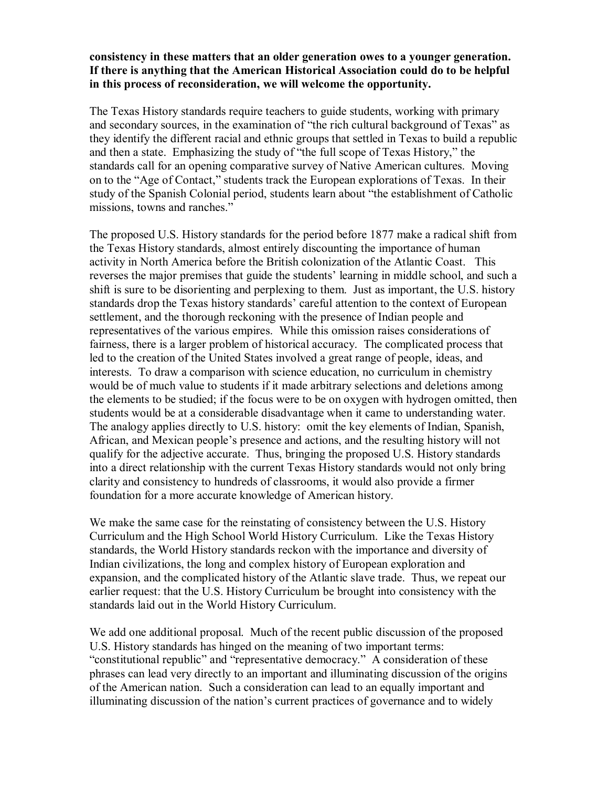## **consistency in these matters that an older generation owes to a younger generation. If there is anything that the American Historical Association could do to be helpful in this process of reconsideration, we will welcome the opportunity.**

The Texas History standards require teachers to guide students, working with primary and secondary sources, in the examination of "the rich cultural background of Texas" as they identify the different racial and ethnic groups that settled in Texas to build a republic and then a state. Emphasizing the study of "the full scope of Texas History," the standards call for an opening comparative survey of Native American cultures. Moving on to the "Age of Contact," students track the European explorations of Texas. In their study of the Spanish Colonial period, students learn about "the establishment of Catholic missions, towns and ranches."

The proposed U.S. History standards for the period before 1877 make a radical shift from the Texas History standards, almost entirely discounting the importance of human activity in North America before the British colonization of the Atlantic Coast. This reverses the major premises that guide the students' learning in middle school, and such a shift is sure to be disorienting and perplexing to them. Just as important, the U.S. history standards drop the Texas history standards' careful attention to the context of European settlement, and the thorough reckoning with the presence of Indian people and representatives of the various empires. While this omission raises considerations of fairness, there is a larger problem of historical accuracy. The complicated process that led to the creation of the United States involved a great range of people, ideas, and interests. To draw a comparison with science education, no curriculum in chemistry would be of much value to students if it made arbitrary selections and deletions among the elements to be studied; if the focus were to be on oxygen with hydrogen omitted, then students would be at a considerable disadvantage when it came to understanding water. The analogy applies directly to U.S. history: omit the key elements of Indian, Spanish, African, and Mexican people's presence and actions, and the resulting history will not qualify for the adjective accurate. Thus, bringing the proposed U.S. History standards into a direct relationship with the current Texas History standards would not only bring clarity and consistency to hundreds of classrooms, it would also provide a firmer foundation for a more accurate knowledge of American history.

We make the same case for the reinstating of consistency between the U.S. History Curriculum and the High School World History Curriculum. Like the Texas History standards, the World History standards reckon with the importance and diversity of Indian civilizations, the long and complex history of European exploration and expansion, and the complicated history of the Atlantic slave trade. Thus, we repeat our earlier request: that the U.S. History Curriculum be brought into consistency with the standards laid out in the World History Curriculum.

We add one additional proposal. Much of the recent public discussion of the proposed U.S. History standards has hinged on the meaning of two important terms: "constitutional republic" and "representative democracy." A consideration of these phrases can lead very directly to an important and illuminating discussion of the origins of the American nation. Such a consideration can lead to an equally important and illuminating discussion of the nation's current practices of governance and to widely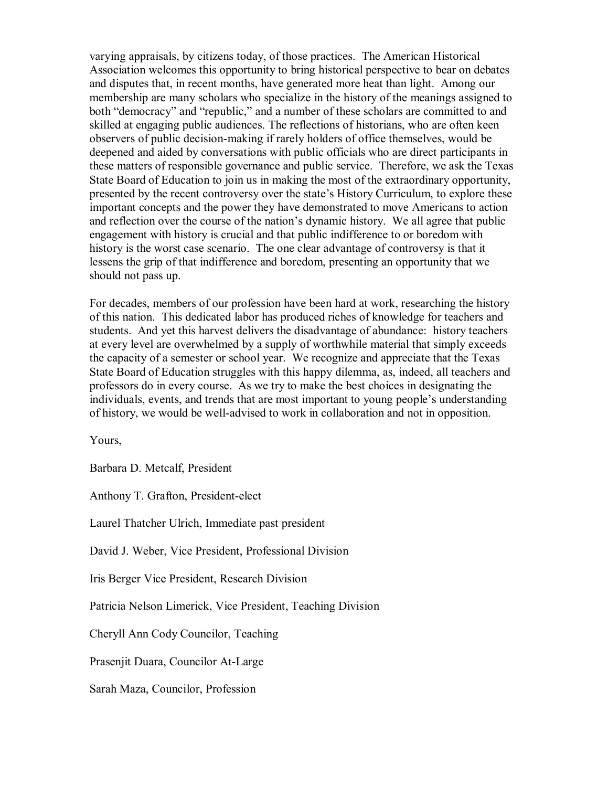varying appraisals, by citizens today, of those practices. The American Historical Association welcomes this opportunity to bring historical perspective to bear on debates and disputes that, in recent months, have generated more heat than light. Among our membership are many scholars who specialize in the history of the meanings assigned to both "democracy" and "republic," and a number of these scholars are committed to and skilled at engaging public audiences. The reflections of historians, who are often keen observers of public decision-making if rarely holders of office themselves, would be deepened and aided by conversations with public officials who are direct participants in these matters of responsible governance and public service. Therefore, we ask the Texas State Board of Education to join us in making the most of the extraordinary opportunity, presented by the recent controversy over the state's History Curriculum, to explore these important concepts and the power they have demonstrated to move Americans to action and reflection over the course of the nation's dynamic history. We all agree that public engagement with history is crucial and that public indifference to or boredom with history is the worst case scenario. The one clear advantage of controversy is that it lessens the grip of that indifference and boredom, presenting an opportunity that we should not pass up.

For decades, members of our profession have been hard at work, researching the history of this nation. This dedicated labor has produced riches of knowledge for teachers and students. And yet this harvest delivers the disadvantage of abundance: history teachers at every level are overwhelmed by a supply of worthwhile material that simply exceeds the capacity of a semester or school year. We recognize and appreciate that the Texas State Board of Education struggles with this happy dilemma, as, indeed, all teachers and professors do in every course. As we try to make the best choices in designating the individuals, events, and trends that are most important to young people's understanding of history, we would be well-advised to work in collaboration and not in opposition.

Yours,

Barbara D. Metcalf, President

Anthony T. Grafton, President-elect

Laurel Thatcher Ulrich, Immediate past president

David J. Weber, Vice President, Professional Division

Iris Berger Vice President, Research Division

Patricia Nelson Limerick, Vice President, Teaching Division

Cheryll Ann Cody Councilor, Teaching

Prasenjit Duara, Councilor At-Large

Sarah Maza, Councilor, Profession